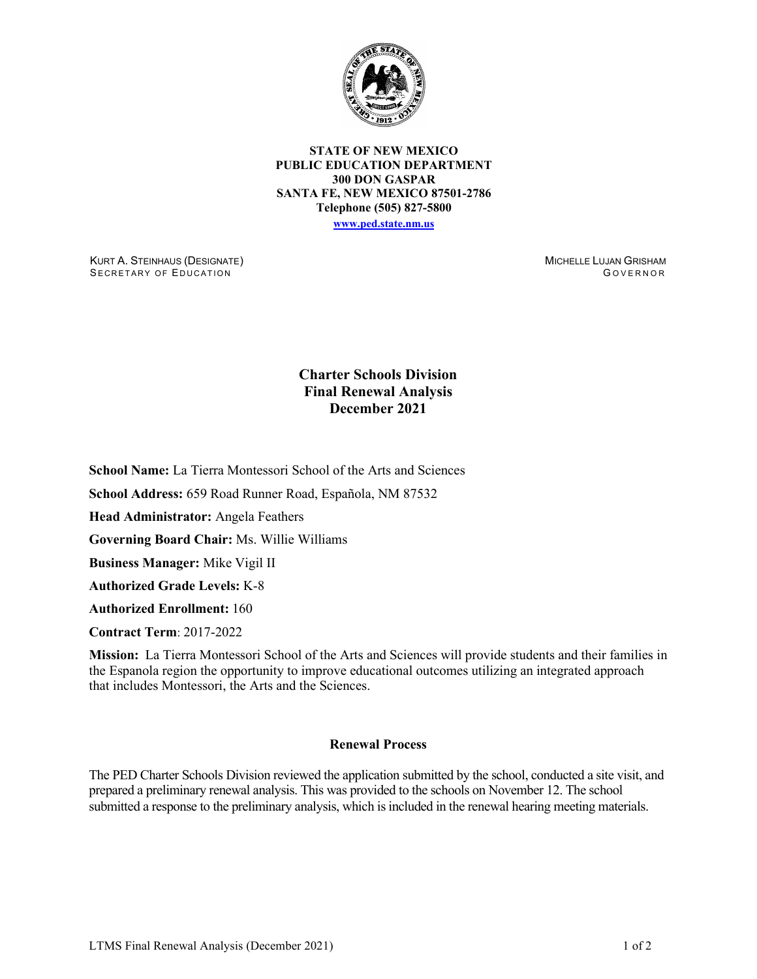

**STATE OF NEW MEXICO PUBLIC EDUCATION DEPARTMENT 300 DON GASPAR SANTA FE, NEW MEXICO 87501-2786 Telephone (505) 827-5800 [www.ped.state.nm.us](http://webnew.ped.state.nm.us/)**

KURT A. STEINHAUS (DESIGNATE) SECRETARY OF EDUCATION

MICHELLE LUJAN GRISHAM G OVERNOR

## **Charter Schools Division Final Renewal Analysis December 2021**

**School Name:** La Tierra Montessori School of the Arts and Sciences

**School Address:** 659 Road Runner Road, Española, NM 87532

**Head Administrator:** Angela Feathers

**Governing Board Chair:** Ms. Willie Williams

**Business Manager:** Mike Vigil II

**Authorized Grade Levels:** K-8

**Authorized Enrollment:** 160

**Contract Term**: 2017-2022

**Mission:** La Tierra Montessori School of the Arts and Sciences will provide students and their families in the Espanola region the opportunity to improve educational outcomes utilizing an integrated approach that includes Montessori, the Arts and the Sciences.

## **Renewal Process**

The PED Charter Schools Division reviewed the application submitted by the school, conducted a site visit, and prepared a preliminary renewal analysis. This was provided to the schools on November 12. The school submitted a response to the preliminary analysis, which is included in the renewal hearing meeting materials.